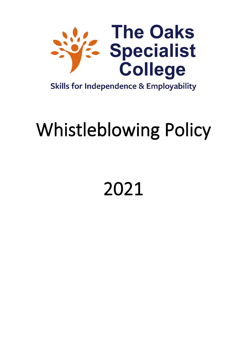

**Skills for Independence & Employability** 

# Whistleblowing Policy

## 2021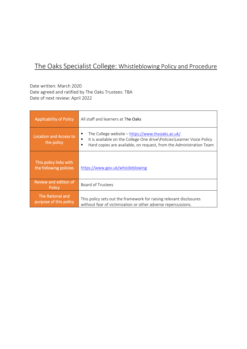### The Oaks Specialist College: Whistleblowing Policy and Procedure

Date written: March 2020 Date agreed and ratified by The Oaks Trustees: TBA Date of next review: April 2022

| <b>Applicability of Policy</b>                   | All staff and learners at The Oaks                                                                                                                                                                     |
|--------------------------------------------------|--------------------------------------------------------------------------------------------------------------------------------------------------------------------------------------------------------|
| <b>Location and Access to</b><br>the policy      | The College website - https://www.theoaks.ac.uk/<br>It is available on the College One drive\Policies\Learner Voice Policy<br>Hard copies are available, on request, from the Administration Team<br>п |
| This policy links with<br>the following policies | https://www.gov.uk/whistleblowing                                                                                                                                                                      |
| <b>Review and edition of</b><br>Policy           | <b>Board of Trustees</b>                                                                                                                                                                               |
| The Rational and<br>purpose of this policy       | This policy sets out the framework for raising relevant disclosures<br>without fear of victimisation or other adverse repercussions.                                                                   |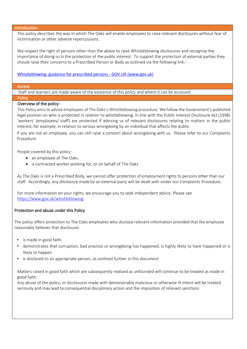#### Introduction

This policy describes the way in which The Oaks will enable employees to raise relevant disclosures without fear of victimisation or other adverse repercussions.

We respect the right of persons other than the above to raise Whistleblowing disclosures and recognise the importance of doing so in the protection of the public interest. To support the protection of external parties they should raise their concerns to a Prescribed Person or Body as outlined via the following link:-

[Whistleblowing: guidance for prescribed persons -](https://www.gov.uk/government/publications/whistleblowing-guidance-for-prescribed-persons) GOV.UK (www.gov.uk[\)](https://www.gov.uk/government/publications/blowing-the-whistle-list-of-prescribed-people-and-bodies--2)

#### Access

Staff and learners are made aware of the existence of this policy and where it can be accessed.

#### **Policy**

#### Overview of the policy:

This Policy aims to advise employees of The Oaks's Whistleblowing procedure. We follow the Government's published legal position on who is protected in relation to whistleblowing. In line with the Public Interest Disclosure Act (1998) 'workers' (employees/ staff) are protected if advising us of relevant disclosures relating to matters in the public interest, for example, in relation to serious wrongdoing by an individual that affects the public.

If you are not an employee, you can still raise a concern about wrongdoing with us. Please refer to our Complaints Procedure.

People covered by this policy:

- an employee of The Oaks
- a contracted worker working for, or on behalf of The Oaks

As The Oaks is not a Prescribed Body, we cannot offer protection of employment rights to persons other than our staff. Accordingly, any disclosure made by an external party will be dealt with under our Complaints Procedure.

For more information on your rights, we encourage you to seek independent advice. Please see [https://www.gov.uk/whistleblowing.](https://www.gov.uk/whistleblowing)

#### Protection and abuse under this Policy

The policy offers protection to The Oaks employees who disclose relevant information provided that the employee reasonably believes that disclosure:

- is made in good faith
- demonstrates that corruption, bad practice or wrongdoing has happened, is highly likely to have happened or is likely to happen
- is disclosed to an appropriate person, as outlined further in this document

Matters raised in good faith which are subsequently realised as unfounded will continue to be treated as made in good faith.

Any abuse of the policy, or disclosures made with demonstrable malicious or otherwise ill-intent will be treated seriously and may lead to consequential disciplinary action and the imposition of relevant sanctions.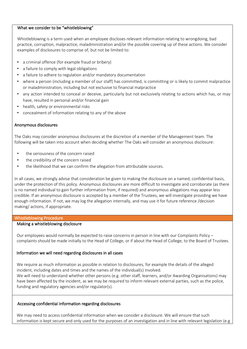#### What we consider to be "whistleblowing"

Whistleblowing is a term used when an employee discloses relevant information relating to wrongdoing, bad practice, corruption, malpractice, maladministration and/or the possible covering up of these actions. We consider examples of disclosures to comprise of, but not be limited to:

- a criminal offence (for example fraud or bribery)
- a failure to comply with legal obligations
- a failure to adhere to regulation and/or mandatory documentation
- where a person (including a member of our staff) has committed, is committing or is likely to commit malpractice or maladministration, including but not exclusive to financial malpractice
- any action intended to conceal or deceive, particularly but not exclusively relating to actions which has, or may have, resulted in personal and/or financial gain
- health, safety or environmental risks
- concealment of information relating to any of the above

#### Anonymous disclosures

The Oaks may consider anonymous disclosures at the discretion of a member of the Management team. The following will be taken into account when deciding whether The Oaks will consider an anonymous disclosure:

- the seriousness of the concern raised
- the credibility of the concern raised
- the likelihood that we can confirm the allegation from attributable sources.

In all cases, we strongly advise that consideration be given to making the disclosure on a named, confidential basis, under the protection of this policy. Anonymous disclosures are more difficult to investigate and corroborate (as there is no named individual to gain further information from, if required) and anonymous allegations may appear less credible. If an anonymous disclosure is accepted by a member of the Trustees, we will investigate providing we have enough information. If not, we may log the allegation internally, and may use it for future reference /decision making/ actions, if appropriate.

#### Whistleblowing Procedure

#### Making a whistleblowing disclosure

Our employees would normally be expected to raise concerns in person in line with our Complaints Policy – complaints should be made initially to the Head of College, or if about the Head of College, to the Board of Trustees.

#### Information we will need regarding disclosures in all cases

We require as much information as possible in relation to disclosures, for example the details of the alleged incident, including dates and times and the names of the individual(s) involved. We will need to understand whether other persons (e.g. other staff, learners, and/or Awarding Organisations) may have been affected by the incident, as we may be required to inform relevant external parties, such as the police, funding and regulatory agencies and/or regulator(s).

#### Accessing confidential information regarding disclosures

We may need to access confidential information when we consider a disclosure. We will ensure that such information is kept secure and only used for the purposes of an investigation and in line with relevant legislation (e.g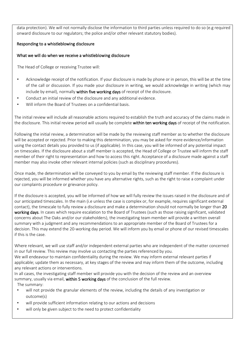data protection). We will not normally disclose the information to third parties unless required to do so (e.g required onward disclosure to our regulators; the police and/or other relevant statutory bodies).

#### Responding to a whistleblowing disclosure

#### What we will do when we receive a whistleblowing disclosure

The Head of College or receiving Trustee will:

- Acknowledge receipt of the notification. If your disclosure is made by phone or in person, this will be at the time of the call or discussion. If you made your disclosure in writing, we would acknowledge in writing (which may include by email), normally within five working days of receipt of the disclosure.
- Conduct an initial review of the disclosure and any additional evidence.
- Will inform the Board of Trustees on a confidential basis.

The initial review will include all reasonable actions required to establish the truth and accuracy of the claims made in the disclosure. This initial review period will usually be complete within ten working days of receipt of the notification.

Following the initial review, a determination will be made by the reviewing staff member as to whether the disclosure will be accepted or rejected. Prior to making this determination, you may be asked for more evidence/information using the contact details you provided to us (if applicable). In this case, you will be informed of any potential impact on timescales. If the disclosure about a staff member is accepted, the Head of College or Trustee will inform the staff member of their right to representation and how to access this right. Acceptance of a disclosure made against a staff member may also invoke other relevant internal policies (such as disciplinary procedures).

Once made, the determination will be conveyed to you by email by the reviewing staff member. If the disclosure is rejected, you will be informed whether you have any alternative rights, such as the right to raise a complaint under our complaints procedure or grievance policy.

If the disclosure is accepted, you will be informed of how we will fully review the issues raised in the disclosure and of our anticipated timescales. In the main (i.e unless the case is complex or, for example, requires significant external contact), the timescale to fully review a disclosure and make a determination should not normally be longer than 20 working days. In cases which require escalation to the Board of Trustees (such as those raising significant, validated concerns about The Oaks and/or our stakeholders), the investigating team member will provide a written overall summary with a judgment and any recommendations to an appropriate member of the Board of Trustees for a decision. This may extend the 20-working day period. We will inform you by email or phone of our revised timescales if this is the case.

Where relevant, we will use staff and/or independent external parties who are independent of the matter concerned in our full review. This review may involve us contacting the parties referenced by you.

We will endeavour to maintain confidentiality during the review. We may inform external relevant parties if applicable; update them as necessary, at key stages of the review and may inform them of the outcome, including any relevant actions or interventions.

In all cases, the investigating staff member will provide you with the decision of the review and an overview summary, usually via email, within 5 working days of the conclusion of the full review. The summary:

- will not provide the granular elements of the review, including the details of any investigation or outcome(s)
- will provide sufficient information relating to our actions and decisions
- will only be given subject to the need to protect confidentiality